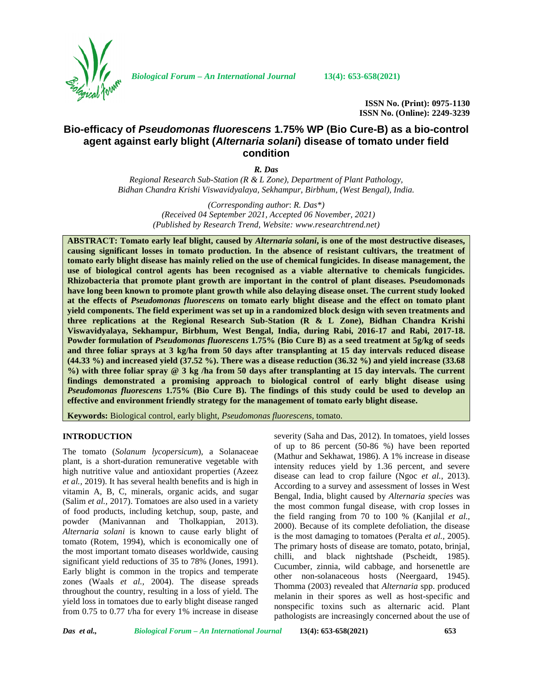

*Biological Forum – An International Journal* **13(4): 653-658(2021)**

**ISSN No. (Print): 0975-1130 ISSN No. (Online): 2249-3239**

# **Bio-efficacy of** *Pseudomonas fluorescens* **1.75% WP (Bio Cure-B) as a bio-control agent against early blight (***Alternaria solani***) disease of tomato under field condition**

*R. Das*

*Regional Research Sub-Station (R & L Zone), Department of Plant Pathology, Bidhan Chandra Krishi Viswavidyalaya, Sekhampur, Birbhum, (West Bengal), India.*

> *(Corresponding author*: *R. Das\*) (Received 04 September 2021, Accepted 06 November, 2021) (Published by Research Trend, Website: [www.researchtrend.net\)](www.researchtrend.net)*

**ABSTRACT: Tomato early leaf blight, caused by** *Alternaria solani***, is one of the most destructive diseases, causing significant losses in tomato production. In the absence of resistant cultivars, the treatment of tomato early blight disease has mainly relied on the use of chemical fungicides. In disease management, the use of biological control agents has been recognised as a viable alternative to chemicals fungicides. Rhizobacteria that promote plant growth are important in the control of plant diseases. Pseudomonads have long been known to promote plant growth while also delaying disease onset. The current study looked at the effects of** *Pseudomonas fluorescens* **on tomato early blight disease and the effect on tomato plant yield components. The field experiment was set up in a randomized block design with seven treatments and three replications at the Regional Research Sub-Station (R & L Zone), Bidhan Chandra Krishi Viswavidyalaya, Sekhampur, Birbhum, West Bengal, India, during Rabi, 2016-17 and Rabi, 2017-18. Powder formulation of** *Pseudomonas fluorescens* **1.75% (Bio Cure B) as a seed treatment at 5g/kg of seeds and three foliar sprays at 3 kg/ha from 50 days after transplanting at 15 day intervals reduced disease (44.33 %) and increased yield (37.52 %). There was a disease reduction (36.32 %) and yield increase (33.68 %) with three foliar spray @ 3 kg /ha from 50 days after transplanting at 15 day intervals. The current findings demonstrated a promising approach to biological control of early blight disease using** *Pseudomonas fluorescens* **1.75% (Bio Cure B). The findings of this study could be used to develop an effective and environment friendly strategy for the management of tomato early blight disease.**

**Keywords:** Biological control, early blight, *Pseudomonas fluorescens*, tomato.

# **INTRODUCTION**

The tomato (*Solanum lycopersicum*), a Solanaceae plant, is a short-duration remunerative vegetable with high nutritive value and antioxidant properties (Azeez *et al.,* 2019). It has several health benefits and is high in vitamin A, B, C, minerals, organic acids, and sugar (Salim *et al.,* 2017). Tomatoes are also used in a variety of food products, including ketchup, soup, paste, and powder (Manivannan and Tholkappian, 2013). *Alternaria solani* is known to cause early blight of tomato (Rotem, 1994), which is economically one of the most important tomato diseases worldwide, causing significant yield reductions of 35 to 78% (Jones, 1991). Early blight is common in the tropics and temperate zones (Waals *et al.,* 2004). The disease spreads throughout the country, resulting in a loss of yield. The yield loss in tomatoes due to early blight disease ranged from 0.75 to 0.77 t/ha for every 1% increase in disease

severity (Saha and Das, 2012). In tomatoes, yield losses of up to 86 percent (50-86 %) have been reported (Mathur and Sekhawat, 1986). A 1% increase in disease intensity reduces yield by 1.36 percent, and severe disease can lead to crop failure (Ngoc *et al.,* 2013). According to a survey and assessment of losses in West Bengal, India, blight caused by *Alternaria species* was the most common fungal disease, with crop losses in the field ranging from 70 to 100 % (Kanjilal *et al.,* 2000). Because of its complete defoliation, the disease is the most damaging to tomatoes (Peralta *et al.,* 2005). The primary hosts of disease are tomato, potato, brinjal, chilli, and black nightshade (Pscheidt, 1985). Cucumber, zinnia, wild cabbage, and horsenettle are other non-solanaceous hosts (Neergaard, 1945). Thomma (2003) revealed that *Alternaria* spp. produced melanin in their spores as well as host-specific and nonspecific toxins such as alternaric acid. Plant pathologists are increasingly concerned about the use of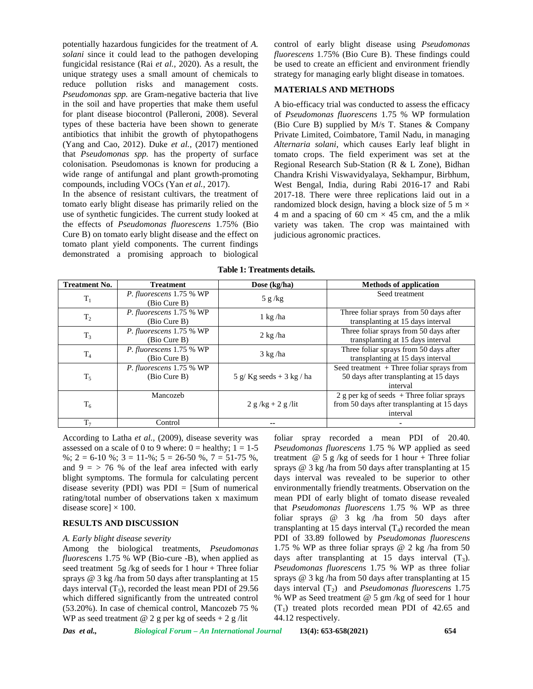potentially hazardous fungicides for the treatment of *A. solani* since it could lead to the pathogen developing fungicidal resistance (Rai *et al.,* 2020). As a result, the unique strategy uses a small amount of chemicals to reduce pollution risks and management costs. *Pseudomonas spp.* are Gram-negative bacteria that live in the soil and have properties that make them useful for plant disease biocontrol (Palleroni, 2008). Several types of these bacteria have been shown to generate antibiotics that inhibit the growth of phytopathogens (Yang and Cao, 2012). Duke *et al.,* (2017) mentioned that *Pseudomonas spp.* has the property of surface colonisation. Pseudomonas is known for producing a wide range of antifungal and plant growth-promoting compounds, including VOCs (Yan *et al.,* 2017).

In the absence of resistant cultivars, the treatment of tomato early blight disease has primarily relied on the use of synthetic fungicides. The current study looked at the effects of *Pseudomonas fluorescens* 1.75% (Bio Cure B) on tomato early blight disease and the effect on tomato plant yield components. The current findings demonstrated a promising approach to biological

control of early blight disease using *Pseudomonas fluorescens* 1.75% (Bio Cure B). These findings could be used to create an efficient and environment friendly strategy for managing early blight disease in tomatoes.

#### **MATERIALS AND METHODS**

A bio-efficacy trial was conducted to assess the efficacy of *Pseudomonas fluorescens* 1.75 % WP formulation (Bio Cure B) supplied by M/s T. Stanes & Company Private Limited, Coimbatore, Tamil Nadu, in managing *Alternaria solani*, which causes Early leaf blight in tomato crops. The field experiment was set at the Regional Research Sub-Station (R & L Zone), Bidhan Chandra Krishi Viswavidyalaya, Sekhampur, Birbhum, West Bengal, India, during Rabi 2016-17 and Rabi 2017-18. There were three replications laid out in a randomized block design, having a block size of 5 m  $\times$ 4 m and a spacing of 60 cm  $\times$  45 cm, and the a mlik variety was taken. The crop was maintained with judicious agronomic practices.

| <b>Treatment No.</b> | <b>Treatment</b>                         | Dose $(kg/ha)$         | <b>Methods of application</b>                                                                          |  |  |
|----------------------|------------------------------------------|------------------------|--------------------------------------------------------------------------------------------------------|--|--|
| $T_1$                | P. fluorescens 1.75 % WP<br>(Bio Cure B) | 5 g/kg                 | Seed treatment                                                                                         |  |  |
| $T_2$                | P. fluorescens 1.75 % WP<br>(Bio Cure B) | $1 \text{ kg}$ /ha     | Three foliar sprays from 50 days after<br>transplanting at 15 days interval                            |  |  |
| $T_3$                | P. fluorescens 1.75 % WP<br>(Bio Cure B) | $2 \text{ kg}$ /ha     | Three foliar sprays from 50 days after<br>transplanting at 15 days interval                            |  |  |
| T <sub>4</sub>       | P. fluorescens 1.75 % WP<br>(Bio Cure B) | $3 \text{ kg}$ /ha     | Three foliar sprays from 50 days after<br>transplanting at 15 days interval                            |  |  |
| $T_5$                | P. fluorescens 1.75 % WP<br>(Bio Cure B) | 5 g/Kg seeds + 3 kg/ha | Seed treatment $+$ Three foliar sprays from<br>50 days after transplanting at 15 days<br>interval      |  |  |
| $T_6$                | Mancozeb                                 | $2 g/kg + 2 g/lit$     | 2 g per kg of seeds $+$ Three foliar sprays<br>from 50 days after transplanting at 15 days<br>interval |  |  |
| T <sub>7</sub>       | Control                                  | --                     |                                                                                                        |  |  |

**Table 1: Treatments details.**

According to Latha *et al.,* (2009), disease severity was assessed on a scale of 0 to 9 where:  $0 =$  healthy;  $1 = 1-5$ %; 2 = 6-10 %; 3 = 11-%; 5 = 26-50 %, 7 = 51-75 %, and  $9 = 76$  % of the leaf area infected with early blight symptoms. The formula for calculating percent disease severity (PDI) was  $PDI = [Sum of numerical]$ rating/total number of observations taken x maximum disease score]  $\times$  100.

#### **RESULTS AND DISCUSSION**

## *A. Early blight disease severity*

Among the biological treatments, *Pseudomonas fluorescens* 1.75 % WP (Bio-cure -B), when applied as seed treatment 5g /kg of seeds for 1 hour + Three foliar sprays @ 3 kg /ha from 50 days after transplanting at 15 days interval  $(T_5)$ , recorded the least mean PDI of 29.56 which differed significantly from the untreated control (53.20%). In case of chemical control, Mancozeb 75 % WP as seed treatment  $@$  2 g per kg of seeds + 2 g /lit

foliar spray recorded a mean PDI of 20.40. *Pseudomonas fluorescens* 1.75 % WP applied as seed treatment  $\omega$  5 g /kg of seeds for 1 hour + Three foliar sprays @ 3 kg /ha from 50 days after transplanting at 15 days interval was revealed to be superior to other environmentally friendly treatments. Observation on the mean PDI of early blight of tomato disease revealed that *Pseudomonas fluorescens* 1.75 % WP as three foliar sprays @ 3 kg /ha from 50 days after transplanting at 15 days interval  $(T_4)$  recorded the mean PDI of 33.89 followed by *Pseudomonas fluorescens* 1.75 % WP as three foliar sprays @ 2 kg /ha from 50 days after transplanting at 15 days interval  $(T_3)$ . *Pseudomonas fluorescens* 1.75 % WP as three foliar sprays @ 3 kg /ha from 50 days after transplanting at 15 days interval (T<sub>2</sub>) and *Pseudomonas fluorescens* 1.75 % WP as Seed treatment @ 5 gm /kg of seed for 1 hour  $(T_1)$  treated plots recorded mean PDI of 42.65 and 44.12 respectively.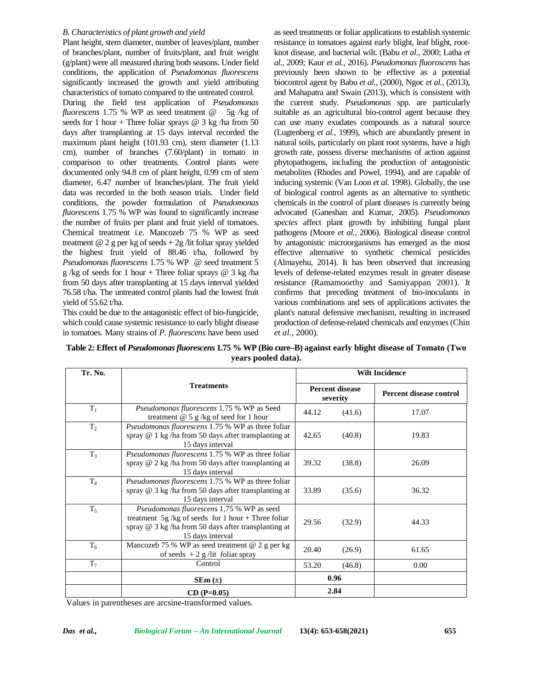### *B. Characteristics of plant growth and yield*

Plant height, stem diameter, number of leaves/plant, number of branches/plant, number of fruits/plant, and fruit weight (g/plant) were all measured during both seasons. Under field conditions, the application of *Pseudomonas fluorescens* significantly increased the growth and yield attributing characteristics of tomato compared to the untreated control. During the field test application of *Pseudomonas fluorescens* 1.75 % WP as seed treatment @ 5g /kg of seeds for 1 hour + Three foliar sprays  $@$  3 kg /ha from 50 days after transplanting at 15 days interval recorded the maximum plant height (101.93 cm), stem diameter (1.13 cm), number of branches (7.60/plant) in tomato in comparison to other treatments. Control plants were documented only 94.8 cm of plant height, 0.99 cm of stem diameter, 6.47 number of branches/plant. The fruit yield data was recorded in the both season trials. Under field conditions, the powder formulation of *Pseudomonas fluorescens* 1.75 % WP was found to significantly increase the number of fruits per plant and fruit yield of tomatoes. Chemical treatment i.e. Mancozeb 75 % WP as seed treatment  $@$  2 g per kg of seeds  $+$  2g /lit foliar spray yielded the highest fruit yield of 88.46 t/ha, followed by *Pseudomonas fluorescens* 1.75 % WP @ seed treatment 5 g /kg of seeds for 1 hour + Three foliar sprays  $@$  3 kg /ha from 50 days after transplanting at 15 days interval yielded 76.58 t/ha. The untreated control plants had the lowest fruit yield of 55.62 t/ha.

This could be due to the antagonistic effect of bio-fungicide, which could cause systemic resistance to early blight disease in tomatoes. Many strains of *P. fluorescens* have been used

as seed treatments or foliar applications to establish systemic resistance in tomatoes against early blight, leaf blight, root knot disease, and bacterial wilt. (Babu *et al.,* 2000; Latha *et al.,* 2009; Kaur *et al.,* 2016). *Pseudomonas fluoroscens* has previously been shown to be effective as a potential biocontrol agent by Babu *et al.,* (2000), Ngoc *et al.,* (2013), and Mahapatra and Swain (2013), which is consistent with the current study*. Pseudomonas* spp. are particularly suitable as an agricultural bio-control agent because they can use many exudates compounds as a natural source (Lugtenberg *et al.,* 1999), which are abundantly present in natural soils, particularly on plant root systems, have a high growth rate, possess diverse mechanisms of action against phytopathogens, including the production of antagonistic metabolites (Rhodes and Powel, 1994), and are capable of inducing systemic (Van Loon *et al.* 1998). Globally, the use of biological control agents as an alternative to synthetic chemicals in the control of plant diseases is currently being advocated (Ganeshan and Kumar, 2005). *Pseudomonas species* affect plant growth by inhibiting fungal plant pathogens (Moore *et al.,* 2006). Biological disease control by antagonistic microorganisms has emerged as the most effective alternative to synthetic chemical pesticides (Almayehu, 2014). It has been observed that increasing levels of defense-related enzymes result in greater disease resistance (Ramamoorthy and Samiyappan 2001). It confirms that preceding treatment of bio-inoculants in various combinations and sets of applications activates the plant's natural defensive mechanism, resulting in increased production of defense-related chemicals and enzymes(Chin *et al.,* 2000).

**Table 2: Effect of** *Pseudomonas fluorescens* **1.75 % WP (Bio cure–B) against early blight disease of Tomato (Two years pooled data).**

| Tr. No.        |                                                                                                                                                                                    | <b>Wilt Incidence</b>              |        |                         |  |
|----------------|------------------------------------------------------------------------------------------------------------------------------------------------------------------------------------|------------------------------------|--------|-------------------------|--|
|                | <b>Treatments</b><br>Pseudomonas fluorescens 1.75 % WP as Seed<br>treatment $@$ 5 g/kg of seed for 1 hour                                                                          | <b>Percent disease</b><br>severity |        | Percent disease control |  |
| $T_1$          |                                                                                                                                                                                    | (41.6)<br>44.12                    |        | 17.07                   |  |
| T <sub>2</sub> | <i>Pseudomonas fluorescens</i> 1.75 % WP as three foliar<br>spray @ 1 kg /ha from 50 days after transplanting at<br>42.65<br>15 days interval                                      |                                    | (40.8) | 19.83                   |  |
| $T_3$          | <i>Pseudomonas fluorescens</i> 1.75 % WP as three foliar<br>spray $@$ 2 kg /ha from 50 days after transplanting at<br>15 days interval                                             | 39.32                              | (38.8) | 26.09                   |  |
| $T_4$          | Pseudomonas fluorescens 1.75 % WP as three foliar<br>spray $@$ 3 kg /ha from 50 days after transplanting at<br>15 days interval                                                    | 33.89                              | (35.6) | 36.32                   |  |
| $T_5$          | <i>Pseudomonas fluorescens</i> 1.75 % WP as seed<br>treatment 5g/kg of seeds for 1 hour + Three foliar<br>spray @ 3 kg /ha from 50 days after transplanting at<br>15 days interval | 29.56                              | (32.9) | 44.33                   |  |
| $T_6$          | Mancozeb 75 % WP as seed treatment $@$ 2 g per kg<br>of seeds $+2$ g /lit foliar spray                                                                                             | 20.40                              | (26.9) | 61.65                   |  |
| $T_7$          | Control                                                                                                                                                                            | 53.20                              | (46.8) | 0.00                    |  |
|                | $SEm (\pm)$                                                                                                                                                                        | 0.96                               |        |                         |  |
|                | $CD (P=0.05)$                                                                                                                                                                      | 2.84                               |        |                         |  |

Values in parentheses are arcsine-transformed values.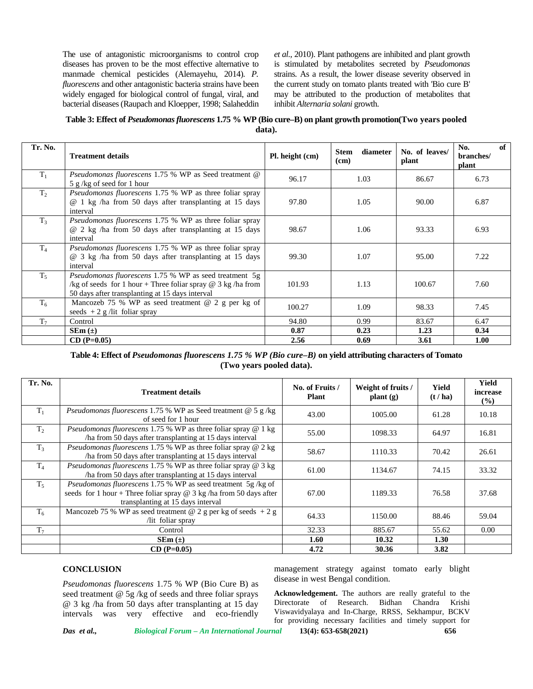The use of antagonistic microorganisms to control crop diseases has proven to be the most effective alternative to manmade chemical pesticides (Alemayehu, 2014). *P. fluorescens* and other antagonistic bacteria strains have been widely engaged for biological control of fungal, viral, and bacterial diseases (Raupach and Kloepper, 1998; Salaheddin *et al.,* 2010). Plant pathogens are inhibited and plant growth is stimulated by metabolites secreted by *Pseudomonas* strains. As a result, the lower disease severity observed in the current study on tomato plants treated with 'Bio cure B' may be attributed to the production of metabolites that inhibit *Alternaria solani* growth.

**Table 3: Effect of** *Pseudomonas fluorescens* **1.75 % WP (Bio cure–B) on plant growth promotion(Two years pooled data).**

| Tr. No.        | <b>Treatment details</b>                                                                                                                                                                | Pl. height (cm) | diameter<br><b>Stem</b><br>(cm) | No. of leaves/<br>plant | of<br>No.<br>branches/<br>plant |
|----------------|-----------------------------------------------------------------------------------------------------------------------------------------------------------------------------------------|-----------------|---------------------------------|-------------------------|---------------------------------|
| $T_1$          | Pseudomonas fluorescens 1.75 % WP as Seed treatment @<br>5 g/kg of seed for 1 hour                                                                                                      | 96.17           | 1.03                            | 86.67                   | 6.73                            |
| T <sub>2</sub> | <i>Pseudomonas fluorescens</i> 1.75 % WP as three foliar spray<br>@ 1 kg /ha from 50 days after transplanting at 15 days<br>interval                                                    | 97.80           | 1.05                            | 90.00                   | 6.87                            |
| $T_3$          | <i>Pseudomonas fluorescens</i> 1.75 % WP as three foliar spray<br>@ 2 kg /ha from 50 days after transplanting at 15 days<br>interval                                                    | 98.67           | 1.06                            | 93.33                   | 6.93                            |
| T <sub>4</sub> | <i>Pseudomonas fluorescens</i> 1.75 % WP as three foliar spray<br>@ 3 kg /ha from 50 days after transplanting at 15 days<br>interval                                                    | 99.30           | 1.07                            | 95.00                   | 7.22                            |
| $T_5$          | <i>Pseudomonas fluorescens</i> 1.75 % WP as seed treatment 5g<br>/kg of seeds for 1 hour + Three foliar spray $\omega$ 3 kg /ha from<br>50 days after transplanting at 15 days interval | 101.93          | 1.13                            | 100.67                  | 7.60                            |
| $T_6$          | Mancozeb 75 % WP as seed treatment $@$ 2 g per kg of<br>seeds $+2$ g /lit foliar spray                                                                                                  | 100.27          | 1.09                            | 98.33                   | 7.45                            |
| T <sub>7</sub> | Control                                                                                                                                                                                 | 94.80           | 0.99                            | 83.67                   | 6.47                            |
|                | $SEm(\pm)$                                                                                                                                                                              | 0.87            | 0.23                            | 1.23                    | 0.34                            |
|                | $CD (P=0.05)$                                                                                                                                                                           | 2.56            | 0.69                            | 3.61                    | 1.00                            |

**Table 4: Effect of** *Pseudomonas fluorescens 1.75 % WP (Bio cure–B)* **on yield attributing characters of Tomato (Two years pooled data).**

| Tr. No.        | <b>Treatment details</b>                                                                                                                                                   | No. of Fruits /<br><b>Plant</b> | Weight of fruits /<br>$\mathbf{plant}\left(\mathbf{g}\right)$ | Yield<br>(t / ha) | <b>Yield</b><br>increase<br>$($ %) |
|----------------|----------------------------------------------------------------------------------------------------------------------------------------------------------------------------|---------------------------------|---------------------------------------------------------------|-------------------|------------------------------------|
| $T_1$          | <i>Pseudomonas fluorescens</i> 1.75 % WP as Seed treatment $\omega$ 5 g/kg<br>of seed for 1 hour                                                                           | 43.00                           | 1005.00                                                       | 61.28             | 10.18                              |
| T <sub>2</sub> | <i>Pseudomonas fluorescens</i> 1.75 % WP as three foliar spray $@$ 1 kg<br>/ha from 50 days after transplanting at 15 days interval                                        | 55.00                           | 1098.33                                                       | 64.97             | 16.81                              |
| $T_3$          | Pseudomonas fluorescens 1.75 % WP as three foliar spray @ 2 kg<br>/ha from 50 days after transplanting at 15 days interval                                                 | 58.67                           | 1110.33                                                       | 70.42             | 26.61                              |
| $T_4$          | Pseudomonas fluorescens 1.75 % WP as three foliar spray @ 3 kg<br>/ha from 50 days after transplanting at 15 days interval                                                 | 61.00                           | 1134.67                                                       | 74.15             | 33.32                              |
| $T_{5}$        | Pseudomonas fluorescens 1.75 % WP as seed treatment 5g/kg of<br>seeds for 1 hour + Three foliar spray $@$ 3 kg /ha from 50 days after<br>transplanting at 15 days interval | 67.00                           | 1189.33                                                       | 76.58             | 37.68                              |
| $T_6$          | Mancozeb 75 % WP as seed treatment @ 2 g per kg of seeds $+2$ g<br>/lit foliar spray                                                                                       | 64.33                           | 1150.00                                                       | 88.46             | 59.04                              |
| T <sub>7</sub> | Control                                                                                                                                                                    | 32.33                           | 885.67                                                        | 55.62             | 0.00                               |
|                | $SEm(\pm)$                                                                                                                                                                 | 1.60                            | 10.32                                                         | 1.30              |                                    |
|                | $CD (P=0.05)$                                                                                                                                                              | 4.72                            | 30.36                                                         | 3.82              |                                    |

### **CONCLUSION**

*Pseudomonas fluorescens* 1.75 % WP (Bio Cure B) as seed treatment @ 5g /kg of seeds and three foliar sprays @ 3 kg /ha from 50 days after transplanting at 15 day intervals was very effective and eco-friendly management strategy against tomato early blight disease in west Bengal condition.

**Acknowledgement.** The authors are really grateful to the Directorate of Research. Bidhan Chandra Krishi Viswavidyalaya and In-Charge, RRSS, Sekhampur, BCKV for providing necessary facilities and timely support for

*Das et al., Biological Forum – An International Journal* **13(4): 653-658(2021) 656**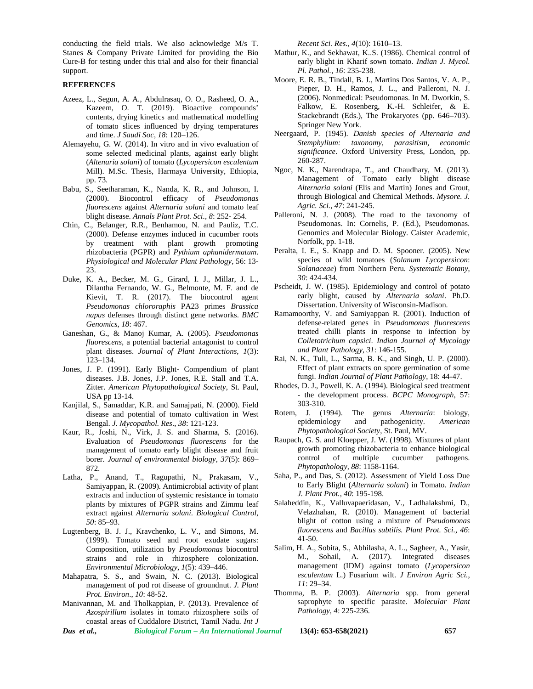conducting the field trials. We also acknowledge M/s T. Stanes & Company Private Limited for providing the Bio Cure-B for testing under this trial and also for their financial support.

#### **REFERENCES**

- Azeez, L., Segun, A. A., Abdulrasaq, O. O., Rasheed, O. A., Kazeem, O. T. (2019). Bioactive compounds' contents, drying kinetics and mathematical modelling of tomato slices influenced by drying temperatures and time. *J Saudi Soc*, *18*: 120–126.
- Alemayehu, G. W. (2014). In vitro and in vivo evaluation of some selected medicinal plants, against early blight (*Altenaria solani*) of tomato (*Lycopersicon esculentum* Mill). M.Sc. Thesis, Harmaya University, Ethiopia, pp. 73.
- Babu, S., Seetharaman, K., Nanda, K. R., and Johnson, I. (2000). Biocontrol efficacy of *Pseudomonas fluorescens* against *Alternaria solani* and tomato leaf blight disease. *Annals Plant Prot. Sci.*, *8*: 252- 254.
- Chin, C., Belanger, R.R., Benhamou, N. and Pauliz, T.C. (2000). Defense enzymes induced in cucumber roots by treatment with plant growth promoting rhizobacteria (PGPR) and *Pythium aphanidermatum*. *Physiological and Molecular Plant Pathology*, 56: 13- 23.
- Duke, K. A., Becker, M. G., Girard, I. J., Millar, J. L., Dilantha Fernando, W. G., Belmonte, M. F. and de Kievit, T. R. (2017). The biocontrol agent *Pseudomonas chlororaphis* PA23 primes *Brassica napus* defenses through distinct gene networks. *BMC Genomics*, *18*: 467.
- Ganeshan, G., & Manoj Kumar, A. (2005). *Pseudomonas fluorescens*, a potential bacterial antagonist to control plant diseases. *Journal of Plant Interactions*, *1*(3): 123–134.
- Jones, J. P. (1991). Early Blight- Compendium of plant diseases. J.B. Jones, J.P. Jones, R.E. Stall and T.A. Zitter. *American Phytopathological Society*, St. Paul*,* USA pp 13-14.
- Kanjilal, S., Samaddar, K.R. and Samajpati, N. (2000). Field disease and potential of tomato cultivation in West Bengal. *J. Mycopathol. Res*., *38*: 121-123.
- Kaur, R., Joshi, N., Virk, J. S. and Sharma, S. (2016). Evaluation of *Pseudomonas fluorescens* for the management of tomato early blight disease and fruit borer. *Journal of environmental biology*, *37*(5): 869– 872.
- Latha, P., Anand, T., Ragupathi, N., Prakasam, V., Samiyappan, R. (2009). Antimicrobial activity of plant extracts and induction of systemic resistance in tomato plants by mixtures of PGPR strains and Zimmu leaf extract against *Alternaria solani*. *Biological Control*, *50*: 85–93.
- Lugtenberg, B. J. J., Kravchenko, L. V., and Simons, M. (1999). Tomato seed and root exudate sugars: Composition, utilization by *Pseudomonas* biocontrol strains and role in rhizosphere colonization. *Environmental Microbiology*, *1*(5): 439–446.
- Mahapatra, S. S., and Swain, N. C. (2013). Biological management of pod rot disease of groundnut. *J. Plant Prot. Environ*., *10*: 48-52.
- Manivannan, M. and Tholkappian, P. (2013). Prevalence of *Azospirillum* isolates in tomato rhizosphere soils of coastal areas of Cuddalore District, Tamil Nadu. *Int J*

*Das et al., Biological Forum – An International Journal* **13(4): 653-658(2021) 657**

*Recent Sci. Res., 4*(10): 1610–13.

- Mathur, K., and Sekhawat, K..S. (1986). Chemical control of early blight in Kharif sown tomato. *Indian J. Mycol. Pl. Pathol., 16*: 235-238.
- Moore, E. R. B., Tindall, B. J., Martins Dos Santos, V. A. P., Pieper, D. H., Ramos, J. L., and Palleroni, N. J. (2006). Nonmedical: Pseudomonas. In M. Dworkin, S. Falkow, E. Rosenberg, K.-H. Schleifer, & E. Stackebrandt (Eds.), The Prokaryotes (pp. 646–703). Springer New York.
- Neergaard, P. (1945). *Danish species of Alternaria and Stemphylium: taxonomy, parasitism, economic significance*. Oxford University Press, London, pp. 260-287.
- Ngoc, N. K., Narendrapa, T., and Chaudhary, M. (2013). Management of Tomato early blight disease *Alternaria solani* (Elis and Martin) Jones and Grout, through Biological and Chemical Methods. *Mysore. J. Agric. Sci.*, *47*: 241-245.
- Palleroni, N. J. (2008). The road to the taxonomy of Pseudomonas. In: Cornelis, P. (Ed.), Pseudomonas. Genomics and Molecular Biology. Caister Academic, Norfolk, pp. 1-18.
- Peralta, I. E., S. Knapp and D. M. Spooner. (2005). New species of wild tomatoes (*Solanum Lycopersicon*: *Solanaceae*) from Northern Peru. *Systematic Botany*, *30*: 424-434.
- Pscheidt, J. W. (1985). Epidemiology and control of potato early blight, caused by *Alternaria solani*. Ph.D. Dissertation. University of Wisconsin-Madison.
- Ramamoorthy, V. and Samiyappan R. (2001). Induction of defense-related genes in *Pseudomonas fluorescens* treated chilli plants in response to infection by *Colletotrichum capsici*. *Indian Journal of Mycology and Plant Pathology*, *31*: 146-155.
- Rai, N. K., Tuli, L., Sarma, B. K., and Singh, U. P. (2000). Effect of plant extracts on spore germination of some fungi. *Indian Journal of Plant Pathology*, 18: 44-47.
- Rhodes, D. J., Powell, K. A. (1994). Biological seed treatment - the development process. *BCPC Monograph*, 57: 303-310.
- Rotem, J. (1994). The genus *Alternaria*: biology, epidemiology and pathogenicity. *American Phytopathological Society*, St. Paul, MV.
- Raupach, G. S. and Kloepper, J. W. (1998). Mixtures of plant growth promoting rhizobacteria to enhance biological control of multiple cucumber pathogens. *Phytopathology, 88*: 1158-1164.
- Saha, P., and Das, S. (2012). Assessment of Yield Loss Due to Early Blight (*Alternaria solani*) in Tomato. *Indian J. Plant Prot.*, *40*: 195-198.
- Salaheddin, K., Valluvapaeridasan, V., Ladhalakshmi, D., Velazhahan, R. (2010). Management of bacterial blight of cotton using a mixture of *Pseudomonas fluorescens* and *Bacillus subtilis. Plant Prot. Sci.*, *46*: 41-50.
- Salim, H. A., Sobita, S., Abhilasha, A. L., Sagheer, A., Yasir, M., Sohail, A. (2017). Integrated diseases management (IDM) against tomato (*Lycopersicon esculentum* L.) Fusarium wilt. *J Environ Agric Sci.*, *11*: 29–34.
- Thomma, B. P. (2003). *Alternaria* spp. from general saprophyte to specific parasite. *Molecular Plant Pathology*, *4*: 225-236.